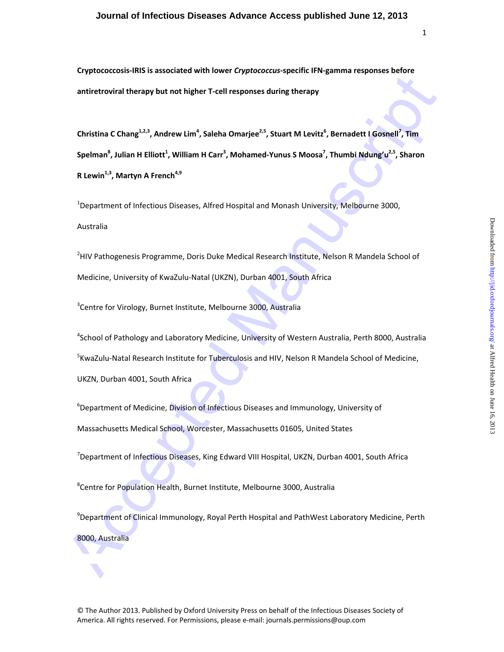**Cryptococcosis‐IRIS is associated with lower** *Cryptococcus***‐specific IFN‐gamma responses before antiretroviral therapy but not higher T‐cell responses during therapy**

Christina C Chang<sup>1,2,3</sup>, Andrew Lim<sup>4</sup>, Saleha Omarjee<sup>2,5</sup>, Stuart M Levitz<sup>6</sup>, Bernadett I Gosnell<sup>7</sup>, Tim Spelman<sup>8</sup>, Julian H Elliott<sup>1</sup>, William H Carr<sup>3</sup>, Mohamed-Yunus S Moosa<sup>7</sup>, Thumbi Ndung'u<sup>2,5</sup>, Sharon **R** Lewin<sup>1,3</sup>, Martyn A French<sup>4,9</sup>

<sup>1</sup>Department of Infectious Diseases, Alfred Hospital and Monash University, Melbourne 3000, Australia

<sup>2</sup>HIV Pathogenesis Programme, Doris Duke Medical Research Institute, Nelson R Mandela School of Medicine, University of KwaZulu‐Natal (UKZN), Durban 4001, South Africa

3 Centre for Virology, Burnet Institute, Melbourne 3000, Australia

experienceival therapy but not higher T-cell responses during therapy<br>
Antiretroviral therapy but not higher T-cell responses during therapy<br>
Christina C Chang<sup>133</sup>, Andrew Lim<sup>4</sup>, Saleha Omargee<sup>76</sup>, Stuart M Levitz<sup>4</sup>, B 4 School of Pathology and Laboratory Medicine, University of Western Australia, Perth 8000, Australia <sup>5</sup> KwaZulu-Natal Research Institute for Tuberculosis and HIV, Nelson R Mandela School of Medicine, UKZN, Durban 4001, South Africa

<sup>6</sup>Department of Medicine, Division of Infectious Diseases and Immunology, University of Massachusetts Medical School, Worcester, Massachusetts 01605, United States

<sup>7</sup>Department of Infectious Diseases, King Edward VIII Hospital, UKZN, Durban 4001, South Africa

8 Centre for Population Health, Burnet Institute, Melbourne 3000, Australia

9 Department of Clinical Immunology, Royal Perth Hospital and PathWest Laboratory Medicine, Perth 8000, Australia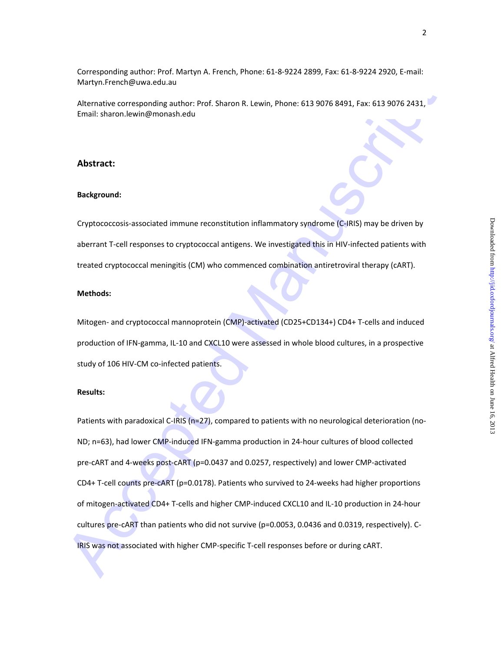Corresponding author: Prof. Martyn A. French, Phone: 61‐8‐9224 2899, Fax: 61‐8‐9224 2920, E‐mail: Martyn.French@uwa.edu.au

Alternative corresponding author: Prof. Sharon R. Lewin, Phone: 613 9076 8491, Fax: 613 9076 2431, Email: sharon.lewin@monash.edu

#### **Abstract:**

#### **Background:**

Cryptococcosis‐associated immune reconstitution inflammatory syndrome (C‐IRIS) may be driven by aberrant T-cell responses to cryptococcal antigens. We investigated this in HIV-infected patients with treated cryptococcal meningitis (CM) who commenced combination antiretroviral therapy (cART).

#### **Methods:**

Mitogen‐ and cryptococcal mannoprotein (CMP)‐activated (CD25+CD134+) CD4+ T‐cells and induced production of IFN‐gamma, IL‐10 and CXCL10 were assessed in whole blood cultures, in a prospective study of 106 HIV-CM co-infected patients.

#### **Results:**

Consignation gradies:<br>
Materyn.French (Powo.estusa)<br>
Alteryn.French (Powo.estusa)<br>
Alternative corresponding author: Prof. Sharon R. Lewin, Phone: 613 9076 8491, Fax: 613 9076 2431,<br>
Alternative corresponding author: Prof. Patients with paradoxical C-IRIS (n=27), compared to patients with no neurological deterioration (no-ND; n=63), had lower CMP‐induced IFN‐gamma production in 24‐hour cultures of blood collected pre‐cART and 4‐weeks post‐cART (p=0.0437 and 0.0257, respectively) and lower CMP‐activated CD4+ T-cell counts pre-cART (p=0.0178). Patients who survived to 24-weeks had higher proportions of mitogen‐activated CD4+ T‐cells and higher CMP‐induced CXCL10 and IL‐10 production in 24‐hour cultures pre-cART than patients who did not survive (p=0.0053, 0.0436 and 0.0319, respectively). C-IRIS was not associated with higher CMP‐specific T‐cell responses before or during cART.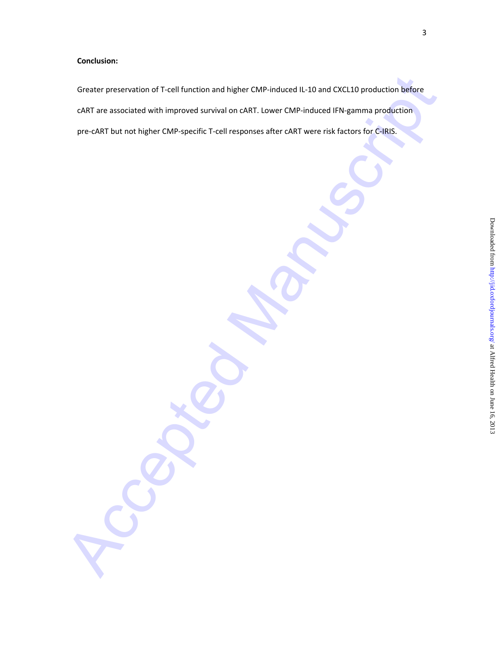#### **Conclusion:**

Greater preservation of T cell function and higher CMP induced II. 10 and CKLIs production before<br>cART are associated with improved survival on cART . Lower CMP induced IITN gamma production<br>pre cART but not higher CMP spe Greater preservation of T‐cell function and higher CMP‐induced IL‐10 and CXCL10 production before cART are associated with improved survival on cART. Lower CMP‐induced IFN‐gamma production pre-cART but not higher CMP-specific T-cell responses after cART were risk factors for C-IRIS.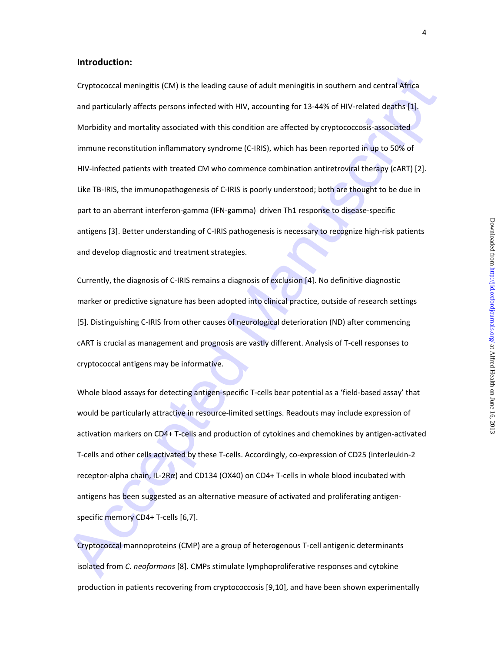#### **Introduction:**

Cryptococcal interingtis (CM) is the leading cause of adult meningitis in southern and central Africa<br>and particularly affects persons infected with HIV, accounting for 13 44% of HIV related deaths [1].<br>Morbidity and morta Cryptococcal meningitis (CM) is the leading cause of adult meningitis in southern and central Africa and particularly affects persons infected with HIV, accounting for 13-44% of HIV-related deaths [1]. Morbidity and mortality associated with this condition are affected by cryptococcosis‐associated immune reconstitution inflammatory syndrome (C‐IRIS), which has been reported in up to 50% of HIV‐infected patients with treated CM who commence combination antiretroviral therapy (cART) [2]. Like TB-IRIS, the immunopathogenesis of C-IRIS is poorly understood; both are thought to be due in part to an aberrant interferon‐gamma (IFN‐gamma) driven Th1 response to disease‐specific antigens [3]. Better understanding of C-IRIS pathogenesis is necessary to recognize high-risk patients and develop diagnostic and treatment strategies.

Currently, the diagnosis of C‐IRIS remains a diagnosis of exclusion [4]. No definitive diagnostic marker or predictive signature has been adopted into clinical practice, outside of research settings [5]. Distinguishing C-IRIS from other causes of neurological deterioration (ND) after commencing cART is crucial as management and prognosis are vastly different. Analysis of T‐cell responses to cryptococcal antigens may be informative.

Whole blood assays for detecting antigen-specific T-cells bear potential as a 'field-based assay' that would be particularly attractive in resource-limited settings. Readouts may include expression of activation markers on CD4+ T-cells and production of cytokines and chemokines by antigen-activated T‐cells and other cells activated by these T‐cells. Accordingly, co‐expression of CD25 (interleukin‐2 receptor‐alpha chain, IL‐2Rα) and CD134 (OX40) on CD4+ T‐cells in whole blood incubated with antigens has been suggested as an alternative measure of activated and proliferating antigen‐ specific memory CD4+ T-cells [6,7].

Cryptococcal mannoproteins (CMP) are a group of heterogenous T‐cell antigenic determinants isolated from *C. neoformans* [8]. CMPs stimulate lymphoproliferative responses and cytokine production in patients recovering from cryptococcosis [9,10], and have been shown experimentally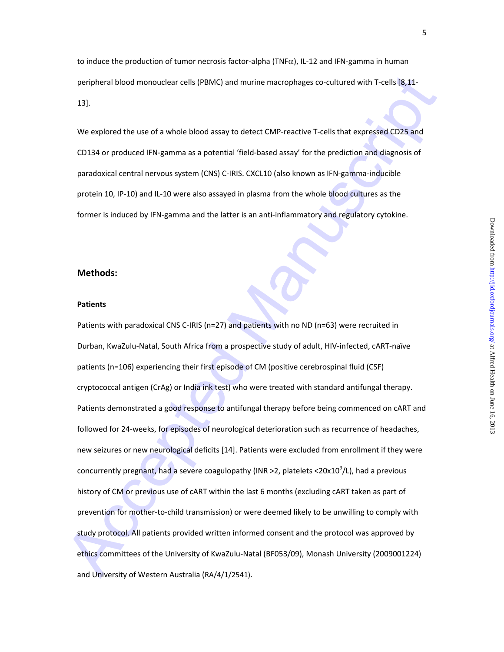13].

We explored the use of a whole blood assay to detect CMP-reactive T-cells that expressed CD25 and CD134 or produced IFN‐gamma as a potential 'field‐based assay' for the prediction and diagnosis of paradoxical central nervous system (CNS) C‐IRIS. CXCL10 (also known as IFN‐gamma‐inducible protein 10, IP‐10) and IL‐10 were also assayed in plasma from the whole blood cultures as the former is induced by IFN-gamma and the latter is an anti-inflammatory and regulatory cytokine.

#### **Methods:**

#### **Patients**

peripheral blood monouclear cells (PRMC) and murrine macrophages co-cultured with T-cells (8,11-<br>13).<br>We explored the use of a whole blood assay to detect CMP-reactive T-cells that expressed CD25 and<br>CD134 or produced IFN Patients with paradoxical CNS C-IRIS (n=27) and patients with no ND (n=63) were recruited in Durban, KwaZulu‐Natal, South Africa from a prospective study of adult, HIV‐infected, cART‐naïve patients (n=106) experiencing their first episode of CM (positive cerebrospinal fluid (CSF) cryptococcal antigen (CrAg) or India ink test) who were treated with standard antifungal therapy. Patients demonstrated a good response to antifungal therapy before being commenced on cART and followed for 24‐weeks, for episodes of neurological deterioration such as recurrence of headaches, new seizures or new neurological deficits [14]. Patients were excluded from enrollment if they were concurrently pregnant, had a severe coagulopathy (INR >2, platelets <20x10<sup>9</sup>/L), had a previous history of CM or previous use of cART within the last 6 months (excluding cART taken as part of prevention for mother-to-child transmission) or were deemed likely to be unwilling to comply with study protocol. All patients provided written informed consent and the protocol was approved by ethics committees of the University of KwaZulu‐Natal (BF053/09), Monash University (2009001224) and University of Western Australia (RA/4/1/2541).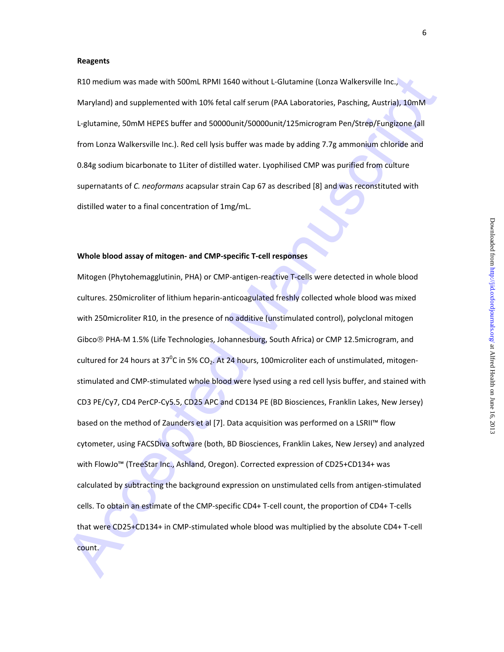#### **Reagents**

R10 medium was made with 500mL RPMI 1640 without L-Glutamine (Lonza Walkersville Inc., Maryland) and supplemented with 10% fetal calf serum (PAA Laboratories, Pasching, Austria), 10mM L‐glutamine, 50mM HEPES buffer and 50000unit/50000unit/125microgram Pen/Strep/Fungizone (all from Lonza Walkersville Inc.). Red cell lysis buffer was made by adding 7.7g ammonium chloride and 0.84g sodium bicarbonate to 1Liter of distilled water. Lyophilised CMP was purified from culture supernatants of *C. neoformans* acapsular strain Cap 67 as described [8] and was reconstituted with distilled water to a final concentration of 1mg/mL.

#### **Whole blood assay of mitogen‐ and CMP‐specific T‐cell responses**

R10 medium was made with 500ml. RPM1 1640 without L Glutamine (Lonca Walkersville Inc.,<br>Maryland) and supplemented with 1056 fetal call f.erum (PAA Laboratories, Pasching, Australy, 10mM<br>L is Udamine, 50mM HEPES buffer and Mitogen (Phytohemagglutinin, PHA) or CMP‐antigen‐reactive T‐cells were detected in whole blood cultures. 250microliter of lithium heparin‐anticoagulated freshly collected whole blood was mixed with 250microliter R10, in the presence of no additive (unstimulated control), polyclonal mitogen Gibco<sup>®</sup> PHA-M 1.5% (Life Technologies, Johannesburg, South Africa) or CMP 12.5microgram, and cultured for 24 hours at 37<sup>o</sup>C in 5% CO<sub>2</sub>. At 24 hours, 100microliter each of unstimulated, mitogenstimulated and CMP‐stimulated whole blood were lysed using a red cell lysis buffer, and stained with CD3 PE/Cy7, CD4 PerCP‐Cy5.5, CD25 APC and CD134 PE (BD Biosciences, Franklin Lakes, New Jersey) based on the method of Zaunders et al [7]. Data acquisition was performed on a LSRII™ flow cytometer, using FACSDiva software (both, BD Biosciences, Franklin Lakes, New Jersey) and analyzed with FlowJo™ (TreeStar Inc., Ashland, Oregon). Corrected expression of CD25+CD134+ was calculated by subtracting the background expression on unstimulated cells from antigen‐stimulated cells. To obtain an estimate of the CMP‐specific CD4+ T‐cell count, the proportion of CD4+ T‐cells that were CD25+CD134+ in CMP‐stimulated whole blood was multiplied by the absolute CD4+ T‐cell count.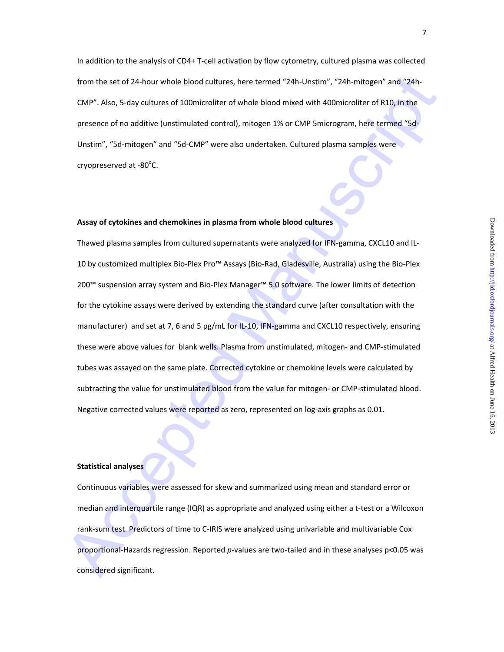In addition to the analysis of CD4+ T-cell activation by flow cytometry, cultured plasma was collected from the set of 24‐hour whole blood cultures, here termed "24h‐Unstim", "24h‐mitogen" and "24h‐ CMP". Also, 5‐day cultures of 100microliter of whole blood mixed with 400microliter of R10, in the presence of no additive (unstimulated control), mitogen 1% or CMP 5microgram, here termed "5d‐ Unstim", "5d-mitogen" and "5d-CMP" were also undertaken. Cultured plasma samples were cryopreserved at -80 $^{\circ}$ C.

#### **Assay of cytokines and chemokines in plasma from whole blood cultures**

from the set of 24 hour whole blood cultures, here termed "24h Unstin", "24h mitogen" and "24h<br>CMP". Also, 5-day cultures of 100microlliter of whole blood mixed with 400microlliter of R10<sub>p</sub> in the<br>presence of no additive Thawed plasma samples from cultured supernatants were analyzed for IFN‐gamma, CXCL10 and IL‐ 10 by customized multiplex Bio‐Plex Pro™ Assays (Bio‐Rad, Gladesville, Australia) using the Bio‐Plex 200™ suspension array system and Bio‐Plex Manager™ 5.0 software. The lower limits of detection for the cytokine assays were derived by extending the standard curve (after consultation with the manufacturer) and set at 7, 6 and 5 pg/mL for IL-10, IFN-gamma and CXCL10 respectively, ensuring these were above values for blank wells. Plasma from unstimulated, mitogen‐ and CMP‐stimulated tubes was assayed on the same plate. Corrected cytokine or chemokine levels were calculated by subtracting the value for unstimulated blood from the value for mitogen- or CMP-stimulated blood. Negative corrected values were reported as zero, represented on log‐axis graphs as 0.01.

#### **Statistical analyses**

Continuous variables were assessed for skew and summarized using mean and standard error or median and interquartile range (IQR) as appropriate and analyzed using either a t‐test or a Wilcoxon rank-sum test. Predictors of time to C-IRIS were analyzed using univariable and multivariable Cox proportional‐Hazards regression. Reported *p‐*values are two‐tailed and in these analyses p<0.05 was considered significant.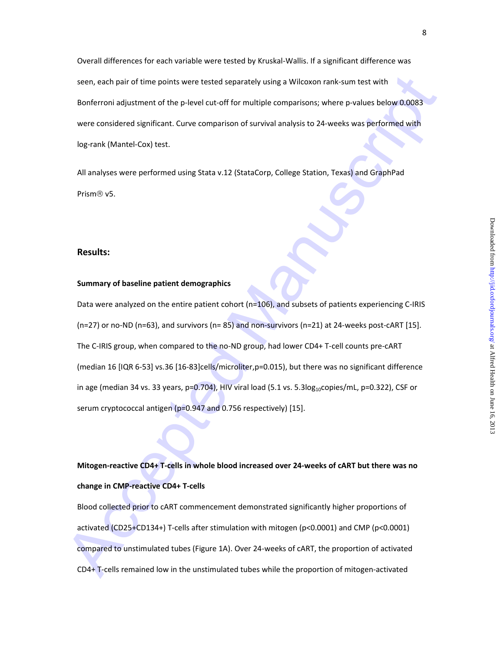Overall differences for each variable were tested by Kruskal‐Wallis. If a significant difference was seen, each pair of time points were tested separately using a Wilcoxon rank-sum test with Bonferroni adjustment of the p-level cut-off for multiple comparisons; where p-values below 0.0083 were considered significant. Curve comparison of survival analysis to 24‐weeks was performed with log‐rank (Mantel‐Cox) test.

All analyses were performed using Stata v.12 (StataCorp, College Station, Texas) and GraphPad Prism<sup>®</sup> v5.

#### **Results:**

#### **Summary of baseline patient demographics**

seen, cach pair of time points were tested separately using a Wilcoson rank sum test with<br>
Banderroni adjustment of the p-level cut-off for multiple comparisons; where p-values below 0.00033<br>
were considered significant. C Data were analyzed on the entire patient cohort (n=106), and subsets of patients experiencing C-IRIS (n=27) or no-ND (n=63), and survivors (n= 85) and non-survivors (n=21) at 24-weeks post-cART [15]. The C-IRIS group, when compared to the no-ND group, had lower CD4+ T-cell counts pre-cART (median 16 [IQR 6‐53] vs.36 [16‐83]cells/microliter,p=0.015), but there was no significant difference in age (median 34 vs. 33 years, p=0.704), HIV viral load (5.1 vs. 5.3log<sub>10</sub>copies/mL, p=0.322), CSF or serum cryptococcal antigen (p=0.947 and 0.756 respectively) [15].

Mitogen-reactive CD4+ T-cells in whole blood increased over 24-weeks of cART but there was no **change in CMP‐reactive CD4+ T‐cells** 

Blood collected prior to cART commencement demonstrated significantly higher proportions of activated (CD25+CD134+) T-cells after stimulation with mitogen (p<0.0001) and CMP (p<0.0001) compared to unstimulated tubes (Figure 1A). Over 24‐weeks of cART, the proportion of activated CD4+ T-cells remained low in the unstimulated tubes while the proportion of mitogen-activated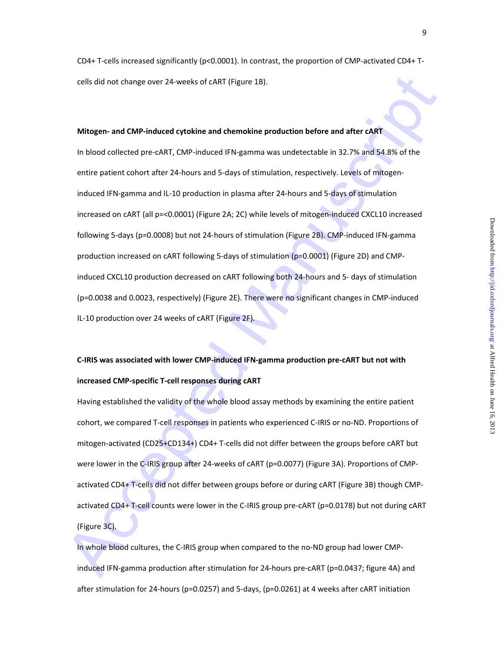CD4+ T-cells increased significantly ( $p<0.0001$ ). In contrast, the proportion of CMP-activated CD4+ Tcells did not change over 24‐weeks of cART (Figure 1B).

#### **Mitogen‐ and CMP‐induced cytokine and chemokine production before and after cART**

cells did not change over 24 weeks of cART (Figure 18).<br>
Mitogen- and CMP-induced cytokine and chemokine production before and after cART<br>
In blood collected pre-cART, CMP-induced IFN-gamma was undetectable in 32,7% and 54 In blood collected pre‐cART, CMP‐induced IFN‐gamma was undetectable in 32.7% and 54.8% of the entire patient cohort after 24-hours and 5-days of stimulation, respectively. Levels of mitogeninduced IFN‐gamma and IL‐10 production in plasma after 24‐hours and 5‐days of stimulation increased on cART (all p=<0.0001) (Figure 2A; 2C) while levels of mitogen‐induced CXCL10 increased following 5‐days (p=0.0008) but not 24‐hours of stimulation (Figure 2B). CMP‐induced IFN‐gamma production increased on cART following 5‐days of stimulation (p=0.0001) (Figure 2D) and CMP‐ induced CXCL10 production decreased on cART following both 24‐hours and 5‐ days of stimulation (p=0.0038 and 0.0023, respectively) (Figure 2E). There were no significant changes in CMP‐induced IL‐10 production over 24 weeks of cART (Figure 2F).

## C-IRIS was associated with lower CMP-induced IFN-gamma production pre-cART but not with **increased CMP‐specific T‐cell responses during cART**

Having established the validity of the whole blood assay methods by examining the entire patient cohort, we compared T‐cell responses in patients who experienced C‐IRIS or no‐ND. Proportions of mitogen‐activated (CD25+CD134+) CD4+ T‐cells did not differ between the groups before cART but were lower in the C-IRIS group after 24-weeks of cART (p=0.0077) (Figure 3A). Proportions of CMPactivated CD4+ T-cells did not differ between groups before or during cART (Figure 3B) though CMPactivated CD4+ T‐cell counts were lower in the C‐IRIS group pre‐cART (p=0.0178) but not during cART (Figure 3C).

In whole blood cultures, the C‐IRIS group when compared to the no‐ND group had lower CMP‐ induced IFN‐gamma production after stimulation for 24‐hours pre‐cART (p=0.0437; figure 4A) and after stimulation for 24‐hours (p=0.0257) and 5‐days, (p=0.0261) at 4 weeks after cART initiation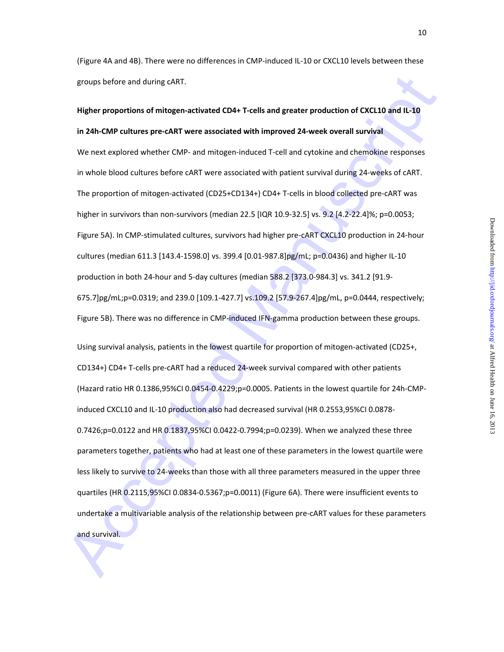(Figure 4A and 4B). There were no differences in CMP‐induced IL‐10 or CXCL10 levels between these

groups before and during cART.

# groups before and during cART.<br>
Higher proportions of mitogen-activated CD4+ T-cells and greater production of CXCLIO and II-10<br>
in 24h-CMP cultures pre-cART were associated with improved 24-week overall survival<br>
We next Higher proportions of mitogen-activated CD4+ T-cells and greater production of CXCL10 and IL-10 **in 24h‐CMP cultures pre‐cART were associated with improved 24‐week overall survival** We next explored whether CMP‐ and mitogen‐induced T‐cell and cytokine and chemokine responses in whole blood cultures before cART were associated with patient survival during 24‐weeks of cART. The proportion of mitogen‐activated (CD25+CD134+) CD4+ T‐cells in blood collected pre‐cART was higher in survivors than non-survivors (median 22.5 [IQR 10.9-32.5] vs. 9.2 [4.2-22.4]%; p=0.0053; Figure 5A). In CMP‐stimulated cultures, survivors had higher pre‐cART CXCL10 production in 24‐hour cultures (median 611.3 [143.4‐1598.0] vs. 399.4 [0.01‐987.8]pg/mL; p=0.0436) and higher IL‐10 production in both 24‐hour and 5‐day cultures (median 588.2 [373.0‐984.3] vs. 341.2 [91.9‐ 675.7]pg/mL;p=0.0319; and 239.0 [109.1‐427.7] vs.109.2 [57.9‐267.4]pg/mL, p=0.0444, respectively; Figure 5B). There was no difference in CMP-induced IFN-gamma production between these groups.

Using survival analysis, patients in the lowest quartile for proportion of mitogen‐activated (CD25+, CD134+) CD4+ T‐cells pre‐cART had a reduced 24‐week survival compared with other patients (Hazard ratio HR 0.1386,95%CI 0.0454‐0.4229;p=0.0005. Patients in the lowest quartile for 24h‐CMP‐ induced CXCL10 and IL‐10 production also had decreased survival (HR 0.2553,95%CI 0.0878‐ 0.7426;p=0.0122 and HR 0.1837,95%CI 0.0422-0.7994;p=0.0239). When we analyzed these three parameters together, patients who had at least one of these parameters in the lowest quartile were less likely to survive to 24‐weeks than those with all three parameters measured in the upper three quartiles (HR 0.2115,95%CI 0.0834‐0.5367;p=0.0011) (Figure 6A). There were insufficient events to undertake a multivariable analysis of the relationship between pre‐cART values for these parameters and survival.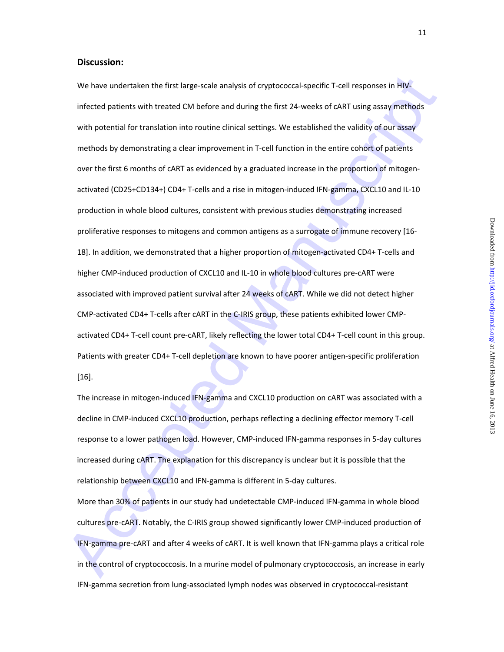#### **Discussion:**

We have undertaken the first large-scale analysis of cryptococcal-specific T-cell responses in HIV-<br>infected patients with treated CM before and during the first 24 weeks of cART using assay methods<br>with potential for tra We have undertaken the first large-scale analysis of cryptococcal-specific T-cell responses in HIVinfected patients with treated CM before and during the first 24‐weeks of cART using assay methods with potential for translation into routine clinical settings. We established the validity of our assay methods by demonstrating a clear improvement in T‐cell function in the entire cohort of patients over the first 6 months of cART as evidenced by a graduated increase in the proportion of mitogen‐ activated (CD25+CD134+) CD4+ T‐cells and a rise in mitogen‐induced IFN‐gamma, CXCL10 and IL‐10 production in whole blood cultures, consistent with previous studies demonstrating increased proliferative responses to mitogens and common antigens as a surrogate of immune recovery [16‐ 18]. In addition, we demonstrated that a higher proportion of mitogen‐activated CD4+ T‐cells and higher CMP‐induced production of CXCL10 and IL‐10 in whole blood cultures pre‐cART were associated with improved patient survival after 24 weeks of cART. While we did not detect higher CMP‐activated CD4+ T‐cells after cART in the C‐IRIS group, these patients exhibited lower CMP‐ activated CD4+ T-cell count pre-cART, likely reflecting the lower total CD4+ T-cell count in this group. Patients with greater CD4+ T‐cell depletion are known to have poorer antigen‐specific proliferation [16].

The increase in mitogen-induced IFN-gamma and CXCL10 production on cART was associated with a decline in CMP‐induced CXCL10 production, perhaps reflecting a declining effector memory T‐cell response to a lower pathogen load. However, CMP‐induced IFN‐gamma responses in 5‐day cultures increased during cART. The explanation for this discrepancy is unclear but it is possible that the relationship between CXCL10 and IFN‐gamma is different in 5‐day cultures.

More than 30% of patients in our study had undetectable CMP‐induced IFN‐gamma in whole blood cultures pre‐cART. Notably, the C‐IRIS group showed significantly lower CMP‐induced production of IFN‐gamma pre‐cART and after 4 weeks of cART. It is well known that IFN‐gamma plays a critical role in the control of cryptococcosis. In a murine model of pulmonary cryptococcosis, an increase in early IFN‐gamma secretion from lung‐associated lymph nodes was observed in cryptococcal‐resistant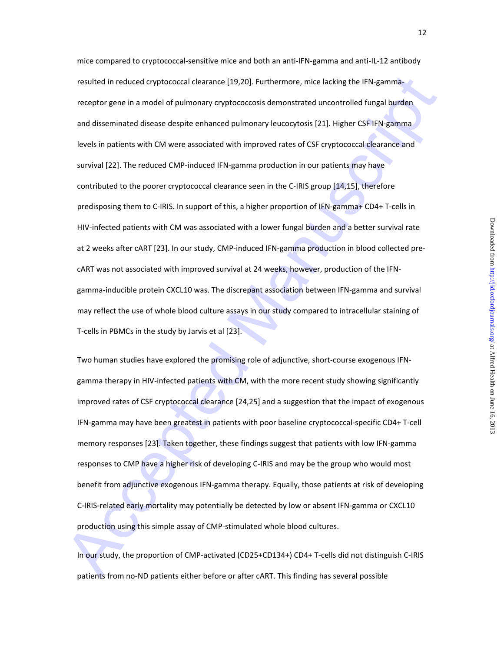Downloaded from http://jid.oxfordjournals.org/ at Alfred Health on June 16, 2013 Downloaded from <http://jid.oxfordjournals.org/> at Alfred Health on June 16, 2013

resulted in reduced cryptococcial detrance (19,20). Furthermore, mice lacking the IFN gamma<br>receptor gene in a model of pulmonary cryptococccists demonstrated uncontrolled fungal lurden<br>and disseminated disreduce despite e mice compared to cryptococcal‐sensitive mice and both an anti‐IFN‐gamma and anti‐IL‐12 antibody resulted in reduced cryptococcal clearance [19,20]. Furthermore, mice lacking the IFN-gammareceptor gene in a model of pulmonary cryptococcosis demonstrated uncontrolled fungal burden and disseminated disease despite enhanced pulmonary leucocytosis [21]. Higher CSF IFN‐gamma levels in patients with CM were associated with improved rates of CSF cryptococcal clearance and survival [22]. The reduced CMP‐induced IFN‐gamma production in our patients may have contributed to the poorer cryptococcal clearance seen in the C‐IRIS group [14,15], therefore predisposing them to C-IRIS. In support of this, a higher proportion of IFN-gamma+ CD4+ T-cells in HIV‐infected patients with CM was associated with a lower fungal burden and a better survival rate at 2 weeks after cART [23]. In our study, CMP‐induced IFN‐gamma production in blood collected pre‐ cART was not associated with improved survival at 24 weeks, however, production of the IFN‐ gamma‐inducible protein CXCL10 was. The discrepant association between IFN‐gamma and survival may reflect the use of whole blood culture assays in our study compared to intracellular staining of T-cells in PBMCs in the study by Jarvis et al [23].

Two human studies have explored the promising role of adjunctive, short‐course exogenous IFN‐ gamma therapy in HIV-infected patients with CM, with the more recent study showing significantly improved rates of CSF cryptococcal clearance [24,25] and a suggestion that the impact of exogenous IFN‐gamma may have been greatest in patients with poor baseline cryptococcal‐specific CD4+ T‐cell memory responses [23]. Taken together, these findings suggest that patients with low IFN‐gamma responses to CMP have a higher risk of developing C-IRIS and may be the group who would most benefit from adjunctive exogenous IFN‐gamma therapy. Equally, those patients at risk of developing C‐IRIS‐related early mortality may potentially be detected by low or absent IFN‐gamma or CXCL10 production using this simple assay of CMP‐stimulated whole blood cultures.

In our study, the proportion of CMP‐activated (CD25+CD134+) CD4+ T‐cells did not distinguish C‐IRIS patients from no‐ND patients either before or after cART. This finding has several possible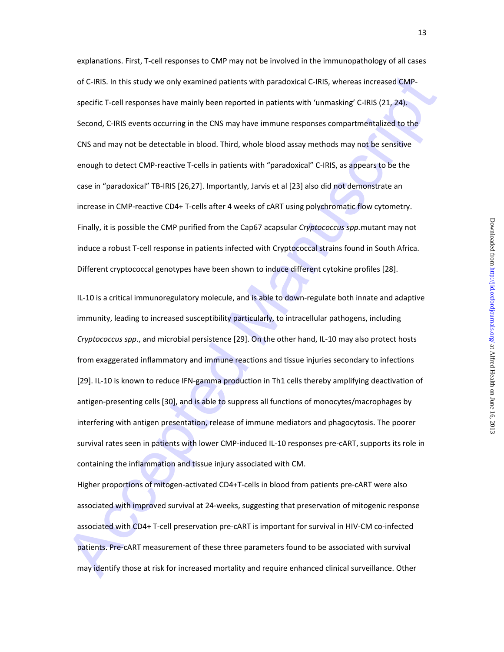of C IRIS. In this study we only examined patients with paradoxical C IRIS, whereas increased CMP<br>specific T-cell responses have mainly been reported in patients with "annualizing" C-reals (21, 24).<br>Second, C IRIS creats o explanations. First, T‐cell responses to CMP may not be involved in the immunopathology of all cases of C‐IRIS. In this study we only examined patients with paradoxical C‐IRIS, whereas increased CMP‐ specific T-cell responses have mainly been reported in patients with 'unmasking' C-IRIS (21, 24). Second, C-IRIS events occurring in the CNS may have immune responses compartmentalized to the CNS and may not be detectable in blood. Third, whole blood assay methods may not be sensitive enough to detect CMP‐reactive T‐cells in patients with "paradoxical" C‐IRIS, as appears to be the case in "paradoxical" TB‐IRIS [26,27]. Importantly, Jarvis et al [23] also did not demonstrate an increase in CMP‐reactive CD4+ T‐cells after 4 weeks of cART using polychromatic flow cytometry. Finally, it is possible the CMP purified from the Cap67 acapsular *Cryptococcus spp.*mutant may not induce a robust T-cell response in patients infected with Cryptococcal strains found in South Africa. Different cryptococcal genotypes have been shown to induce different cytokine profiles [28].

IL‐10 is a critical immunoregulatory molecule, and is able to down‐regulate both innate and adaptive immunity, leading to increased susceptibility particularly, to intracellular pathogens, including *Cryptococcus spp*., and microbial persistence [29]. On the other hand, IL‐10 may also protect hosts from exaggerated inflammatory and immune reactions and tissue injuries secondary to infections [29]. IL-10 is known to reduce IFN-gamma production in Th1 cells thereby amplifying deactivation of antigen‐presenting cells [30], and is able to suppress all functions of monocytes/macrophages by interfering with antigen presentation, release of immune mediators and phagocytosis. The poorer survival rates seen in patients with lower CMP‐induced IL‐10 responses pre‐cART, supports its role in containing the inflammation and tissue injury associated with CM.

Higher proportions of mitogen-activated CD4+T-cells in blood from patients pre-cART were also associated with improved survival at 24‐weeks, suggesting that preservation of mitogenic response associated with CD4+ T‐cell preservation pre‐cART is important for survival in HIV‐CM co‐infected patients. Pre-cART measurement of these three parameters found to be associated with survival may identify those at risk for increased mortality and require enhanced clinical surveillance. Other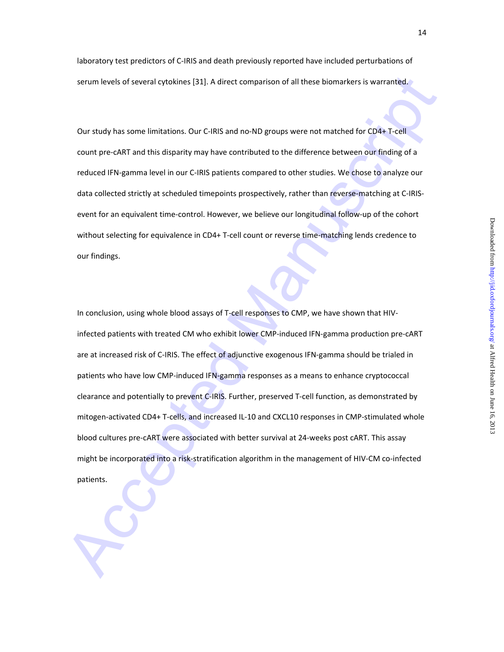laboratory test predictors of C‐IRIS and death previously reported have included perturbations of serum levels of several cytokines [31]. A direct comparison of all these biomarkers is warranted.

Our study has some limitations. Our C‐IRIS and no‐ND groups were not matched for CD4+ T‐cell count pre‐cART and this disparity may have contributed to the difference between our finding of a reduced IFN‐gamma level in our C‐IRIS patients compared to other studies. We chose to analyze our data collected strictly at scheduled timepoints prospectively, rather than reverse-matching at C-IRISevent for an equivalent time‐control. However, we believe our longitudinal follow‐up of the cohort without selecting for equivalence in CD4+ T-cell count or reverse time-matching lends credence to our findings.

serum levels of several cytokines (31). A direct comparison of all these biomarkers is worranted.<br>
Our study has some limitations. Our C IRIS and no ND groups were not matched for CDA+T cell<br>
count pre-GART and this dispar In conclusion, using whole blood assays of T‐cell responses to CMP, we have shown that HIV‐ infected patients with treated CM who exhibit lower CMP‐induced IFN‐gamma production pre‐cART are at increased risk of C-IRIS. The effect of adjunctive exogenous IFN-gamma should be trialed in patients who have low CMP‐induced IFN‐gamma responses as a means to enhance cryptococcal clearance and potentially to prevent C‐IRIS. Further, preserved T‐cell function, as demonstrated by mitogen‐activated CD4+ T‐cells, and increased IL‐10 and CXCL10 responses in CMP‐stimulated whole blood cultures pre‐cART were associated with better survival at 24‐weeks post cART. This assay might be incorporated into a risk-stratification algorithm in the management of HIV-CM co-infected patients.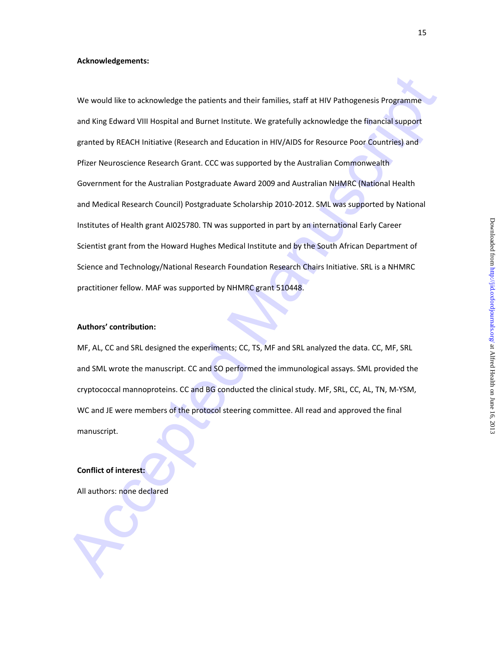#### **Acknowledgements:**

We would like to acknowledge the patients and their families, staff at HV Pathogenesis Programme<br>and king Edward VIII Hospital and Burnet Institute. We gratefully acknowledge the financial support<br>granted by REACH initiati We would like to acknowledge the patients and their families, staff at HIV Pathogenesis Programme and King Edward VIII Hospital and Burnet Institute. We gratefully acknowledge the financial support granted by REACH Initiative (Research and Education in HIV/AIDS for Resource Poor Countries) and Pfizer Neuroscience Research Grant. CCC was supported by the Australian Commonwealth Government for the Australian Postgraduate Award 2009 and Australian NHMRC (National Health and Medical Research Council) Postgraduate Scholarship 2010‐2012. SML was supported by National Institutes of Health grant AI025780. TN was supported in part by an international Early Career Scientist grant from the Howard Hughes Medical Institute and by the South African Department of Science and Technology/National Research Foundation Research Chairs Initiative. SRL is a NHMRC practitioner fellow. MAF was supported by NHMRC grant 510448.

#### **Authors' contribution:**

MF, AL, CC and SRL designed the experiments; CC, TS, MF and SRL analyzed the data. CC, MF, SRL and SML wrote the manuscript. CC and SO performed the immunological assays. SML provided the cryptococcal mannoproteins. CC and BG conducted the clinical study. MF, SRL, CC, AL, TN, M‐YSM, WC and JE were members of the protocol steering committee. All read and approved the final manuscript.

#### **Conflict of interest:**

All authors: none declared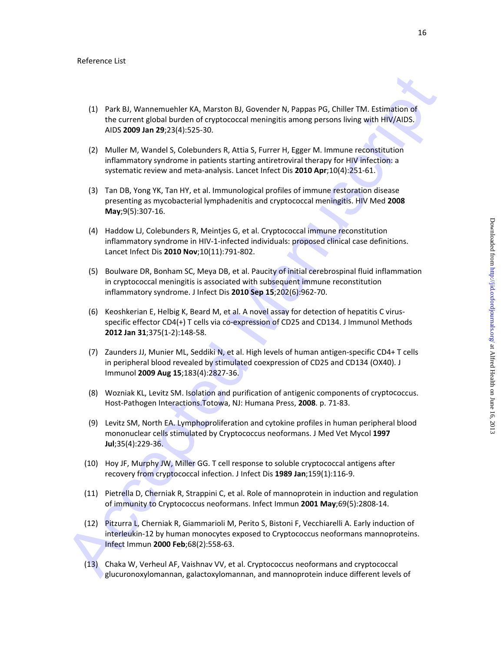- (1) Park BJ, Wannemuehler KA, Marston BJ, Govender N, Pappas PG, Chiller TM. Estimation of the current global burden of cryptococcal meningitis among persons living with HIV/AIDS. AIDS **2009 Jan 29**;23(4):525‐30.
- (2) Muller M, Wandel S, Colebunders R, Attia S, Furrer H, Egger M. Immune reconstitution inflammatory syndrome in patients starting antiretroviral therapy for HIV infection: a systematic review and meta‐analysis. Lancet Infect Dis **2010 Apr**;10(4):251‐61.
- (3) Tan DB, Yong YK, Tan HY, et al. Immunological profiles of immune restoration disease presenting as mycobacterial lymphadenitis and cryptococcal meningitis. HIV Med **2008 May**;9(5):307‐16.
- (4) Haddow LJ, Colebunders R, Meintjes G, et al. Cryptococcal immune reconstitution inflammatory syndrome in HIV‐1‐infected individuals: proposed clinical case definitions. Lancet Infect Dis **2010 Nov**;10(11):791‐802.
- (5) Boulware DR, Bonham SC, Meya DB, et al. Paucity of initial cerebrospinal fluid inflammation in cryptococcal meningitis is associated with subsequent immune reconstitution inflammatory syndrome. J Infect Dis **2010 Sep 15**;202(6):962‐70.
- (6) Keoshkerian E, Helbig K, Beard M, et al. A novel assay for detection of hepatitis C virus‐ specific effector CD4(+) T cells via co-expression of CD25 and CD134. J Immunol Methods **2012 Jan 31**;375(1‐2):148‐58.
- (7) Zaunders JJ, Munier ML, Seddiki N, et al. High levels of human antigen‐specific CD4+ T cells in peripheral blood revealed by stimulated coexpression of CD25 and CD134 (OX40). J Immunol **2009 Aug 15**;183(4):2827‐36.
- (8) Wozniak KL, Levitz SM. Isolation and purification of antigenic components of cryptococcus. Host‐Pathogen Interactions.Totowa, NJ: Humana Press, **2008**. p. 71‐83.
- (1) Park 8J, Warnenmuelher KA. Marston BJ, Govender N, Pappas PG, Chiller TM. Estimation of<br>the current global barden of cryptosoccal memiptis among persons long with ritily/AUS.<br>Anuller KM wandels, Accelembers & Antis, S (9) Levitz SM, North EA. Lymphoproliferation and cytokine profiles in human peripheral blood mononuclear cells stimulated by Cryptococcus neoformans. J Med Vet Mycol **1997 Jul**;35(4):229‐36.
	- (10) Hoy JF, Murphy JW, Miller GG. T cell response to soluble cryptococcal antigens after recovery from cryptococcal infection. J Infect Dis **1989 Jan**;159(1):116‐9.
	- (11) Pietrella D, Cherniak R, Strappini C, et al. Role of mannoprotein in induction and regulation of immunity to Cryptococcus neoformans. Infect Immun **2001 May**;69(5):2808‐14.
	- (12) Pitzurra L, Cherniak R, Giammarioli M, Perito S, Bistoni F, Vecchiarelli A. Early induction of interleukin‐12 by human monocytes exposed to Cryptococcus neoformans mannoproteins. Infect Immun **2000 Feb**;68(2):558‐63.
	- (13) Chaka W, Verheul AF, Vaishnav VV, et al. Cryptococcus neoformans and cryptococcal glucuronoxylomannan, galactoxylomannan, and mannoprotein induce different levels of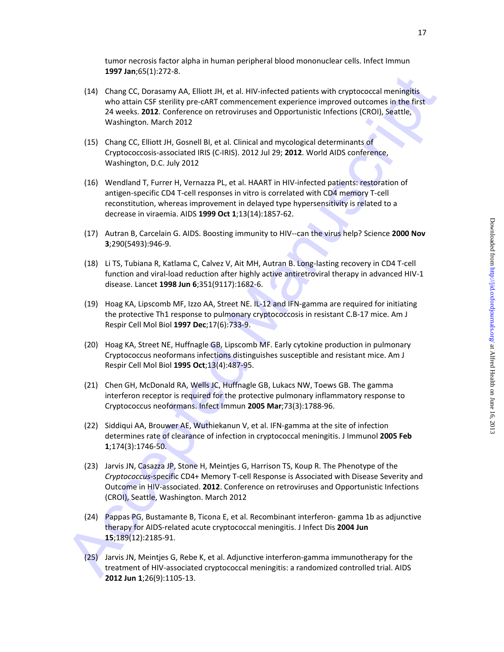tumor necrosis factor alpha in human peripheral blood mononuclear cells. Infect Immun **1997 Jan**;65(1):272‐8.

- (14) Chang CC, Dorasamy AA, Elliott JH, et al. HIV‐infected patients with cryptococcal meningitis who attain CSF sterility pre‐cART commencement experience improved outcomes in the first 24 weeks. **2012**. Conference on retroviruses and Opportunistic Infections (CROI), Seattle, Washington. March 2012
- (15) Chang CC, Elliott JH, Gosnell BI, et al. Clinical and mycological determinants of Cryptococcosis‐associated IRIS (C‐IRIS). 2012 Jul 29; **2012**. World AIDS conference, Washington, D.C. July 2012
- (16) Wendland T, Furrer H, Vernazza PL, et al. HAART in HIV‐infected patients: restoration of antigen‐specific CD4 T‐cell responses in vitro is correlated with CD4 memory T‐cell reconstitution, whereas improvement in delayed type hypersensitivity is related to a decrease in viraemia. AIDS **1999 Oct 1**;13(14):1857‐62.
- (17) Autran B, Carcelain G. AIDS. Boosting immunity to HIV‐‐can the virus help? Science **2000 Nov 3**;290(5493):946‐9.
- (18) Li TS, Tubiana R, Katlama C, Calvez V, Ait MH, Autran B. Long‐lasting recovery in CD4 T‐cell function and viral‐load reduction after highly active antiretroviral therapy in advanced HIV‐1 disease. Lancet **1998 Jun 6**;351(9117):1682‐6.
- (19) Hoag KA, Lipscomb MF, Izzo AA, Street NE. IL‐12 and IFN‐gamma are required for initiating the protective Th1 response to pulmonary cryptococcosis in resistant C.B‐17 mice. Am J Respir Cell Mol Biol **1997 Dec**;17(6):733‐9.
- (20) Hoag KA, Street NE, Huffnagle GB, Lipscomb MF. Early cytokine production in pulmonary Cryptococcus neoformans infections distinguishes susceptible and resistant mice. Am J Respir Cell Mol Biol **1995 Oct**;13(4):487‐95.
- (21) Chen GH, McDonald RA, Wells JC, Huffnagle GB, Lukacs NW, Toews GB. The gamma interferon receptor is required for the protective pulmonary inflammatory response to Cryptococcus neoformans. Infect Immun **2005 Mar**;73(3):1788‐96.
- (22) Siddiqui AA, Brouwer AE, Wuthiekanun V, et al. IFN‐gamma at the site of infection determines rate of clearance of infection in cryptococcal meningitis. J Immunol **2005 Feb 1**;174(3):1746‐50.
- 441 Chang CC, Donesarwy AA, Fillolt JH, et al. HIV-infected patients with cryptococcal meninglis who attain GS steeling type -CART commentent asystem (more control in the linet and the steeling the control of the control (23) Jarvis JN, Casazza JP, Stone H, Meintjes G, Harrison TS, Koup R. The Phenotype of the *Cryptococcus*‐specific CD4+ Memory T‐cell Response is Associated with Disease Severity and Outcome in HIV‐associated. **2012**. Conference on retroviruses and Opportunistic Infections (CROI), Seattle, Washington. March 2012
	- (24) Pappas PG, Bustamante B, Ticona E, et al. Recombinant interferon‐ gamma 1b as adjunctive therapy for AIDS‐related acute cryptococcal meningitis. J Infect Dis **2004 Jun 15**;189(12):2185‐91.
	- (25) Jarvis JN, Meintjes G, Rebe K, et al. Adjunctive interferon‐gamma immunotherapy for the treatment of HIV‐associated cryptococcal meningitis: a randomized controlled trial. AIDS **2012 Jun 1**;26(9):1105‐13.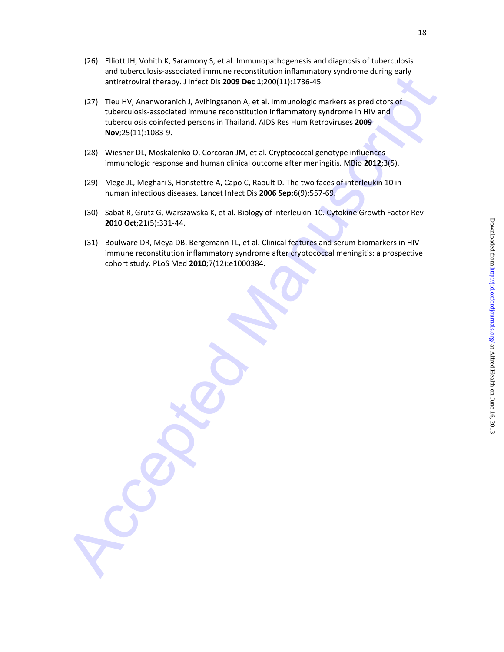- (26) Elliott JH, Vohith K, Saramony S, et al. Immunopathogenesis and diagnosis of tuberculosis and tuberculosis‐associated immune reconstitution inflammatory syndrome during early antiretroviral therapy. J Infect Dis **2009 Dec 1**;200(11):1736‐45.
- and the constrained Manuscript (Manuscript) (1982)<br>
The UPV, Ananovanich J. Analysing priority and at all immunologic market as produced to the<br>methods associated immune reconstruction informatory syndromial tivi and<br>
the (27) Tieu HV, Ananworanich J, Avihingsanon A, et al. Immunologic markers as predictors of tuberculosis‐associated immune reconstitution inflammatory syndrome in HIV and tuberculosis coinfected persons in Thailand. AIDS Res Hum Retroviruses **2009 Nov**;25(11):1083‐9.
	- (28) Wiesner DL, Moskalenko O, Corcoran JM, et al. Cryptococcal genotype influences immunologic response and human clinical outcome after meningitis. MBio **2012**;3(5).
	- (29) Mege JL, Meghari S, Honstettre A, Capo C, Raoult D. The two faces of interleukin 10 in human infectious diseases. Lancet Infect Dis **2006 Sep**;6(9):557‐69.
	- (30) Sabat R, Grutz G, Warszawska K, et al. Biology of interleukin‐10. Cytokine Growth Factor Rev **2010 Oct**;21(5):331‐44.
	- (31) Boulware DR, Meya DB, Bergemann TL, et al. Clinical features and serum biomarkers in HIV immune reconstitution inflammatory syndrome after cryptococcal meningitis: a prospective cohort study. PLoS Med **2010**;7(12):e1000384.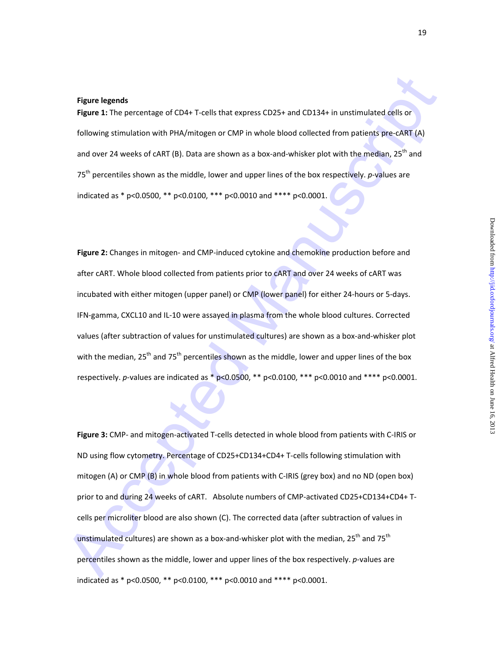#### **Figure legends**

**Figure 1:** The percentage of CD4+ T‐cells that express CD25+ and CD134+ in unstimulated cells or following stimulation with PHA/mitogen or CMP in whole blood collected from patients pre‐cART (A) and over 24 weeks of cART (B). Data are shown as a box-and-whisker plot with the median,  $25^{th}$  and 75<sup>th</sup> percentiles shown as the middle, lower and upper lines of the box respectively. *p*-values are indicated as  $*$  p<0.0500,  $**$  p<0.0100,  $***$  p<0.0010 and  $***$  p<0.0001.

**Figure 2:** Changes in mitogen‐ and CMP‐induced cytokine and chemokine production before and after cART. Whole blood collected from patients prior to cART and over 24 weeks of cART was incubated with either mitogen (upper panel) or CMP (lower panel) for either 24‐hours or 5‐days. IFN‐gamma, CXCL10 and IL‐10 were assayed in plasma from the whole blood cultures. Corrected values (after subtraction of values for unstimulated cultures) are shown as a box-and-whisker plot with the median, 25<sup>th</sup> and 75<sup>th</sup> percentiles shown as the middle, lower and upper lines of the box respectively. *p*‐values are indicated as \* p<0.0500, \*\* p<0.0100, \*\*\* p<0.0010 and \*\*\*\* p<0.0001.

**Figure lagends**<br> **Figure 1:** The percentiage of CD4+T cells that express CD25+ and CD134+ in unstimulated gels or<br>
following stimulation with PHA/mitogen or CMP in whole blood collected from patients pre-CMT (A)<br>
and ove **Figure 3:** CMP‐ and mitogen‐activated T‐cells detected in whole blood from patients with C‐IRIS or ND using flow cytometry. Percentage of CD25+CD134+CD4+ T‐cells following stimulation with mitogen (A) or CMP (B) in whole blood from patients with C‐IRIS (grey box) and no ND (open box) prior to and during 24 weeks of cART. Absolute numbers of CMP-activated CD25+CD134+CD4+ Tcells per microliter blood are also shown (C). The corrected data (after subtraction of values in unstimulated cultures) are shown as a box-and-whisker plot with the median,  $25^{th}$  and  $75^{th}$ percentiles shown as the middle, lower and upper lines of the box respectively. *p*-values are indicated as \* p<0.0500, \*\* p<0.0100, \*\*\* p<0.0010 and \*\*\*\* p<0.0001.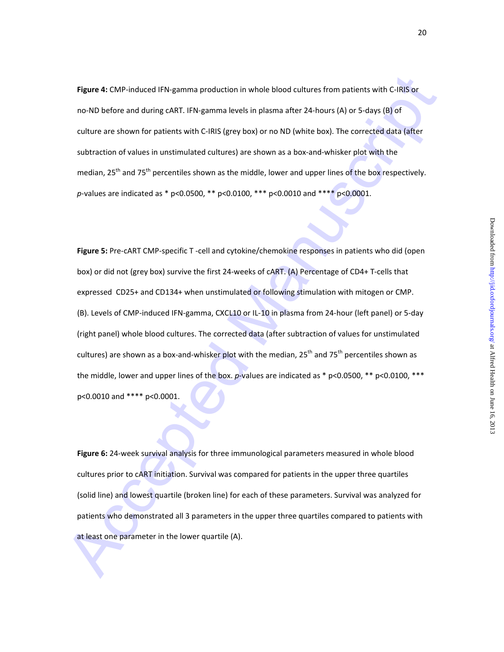**Figure 4:** CMP‐induced IFN‐gamma production in whole blood cultures from patients with C‐IRIS or no‐ND before and during cART. IFN‐gamma levels in plasma after 24‐hours (A) or 5‐days (B) of culture are shown for patients with C-IRIS (grey box) or no ND (white box). The corrected data (after subtraction of values in unstimulated cultures) are shown as a box-and-whisker plot with the median, 25<sup>th</sup> and 75<sup>th</sup> percentiles shown as the middle, lower and upper lines of the box respectively. *p*‐values are indicated as \* p<0.0500, \*\* p<0.0100, \*\*\* p<0.0010 and \*\*\*\* p<0.0001.

**Figure 4:** CMP induced IFN gamma production in whole blood cultures from patients with C IRIS or<br>no AD before and during cART. IFN gamma levels in plasma after 24-hours (A) or 5-days (B) of<br>culture are shown for patients **Figure 5:** Pre‐cART CMP‐specific T ‐cell and cytokine/chemokine responses in patients who did (open box) or did not (grey box) survive the first 24-weeks of cART. (A) Percentage of CD4+ T-cells that expressed CD25+ and CD134+ when unstimulated or following stimulation with mitogen or CMP. (B). Levels of CMP‐induced IFN‐gamma, CXCL10 or IL‐10 in plasma from 24‐hour (left panel) or 5‐day (right panel) whole blood cultures. The corrected data (after subtraction of values for unstimulated cultures) are shown as a box-and-whisker plot with the median, 25<sup>th</sup> and 75<sup>th</sup> percentiles shown as the middle, lower and upper lines of the box.  $p$ -values are indicated as  $*$  p<0.0500,  $**$  p<0.0100,  $***$ p<0.0010 and \*\*\*\* p<0.0001.

**Figure 6:** 24‐week survival analysis for three immunological parameters measured in whole blood cultures prior to cART initiation. Survival was compared for patients in the upper three quartiles (solid line) and lowest quartile (broken line) for each of these parameters. Survival was analyzed for patients who demonstrated all 3 parameters in the upper three quartiles compared to patients with at least one parameter in the lower quartile (A).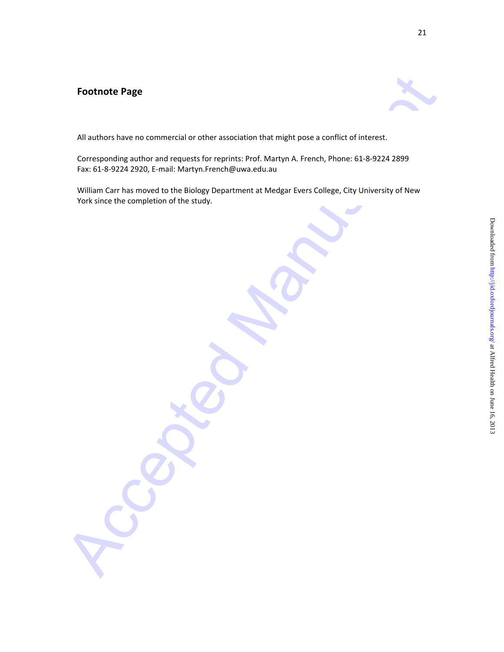### **Footnote Page**



All authors have no commercial or other association that might pose a conflict of interest.

Corresponding author and requests for reprints: Prof. Martyn A. French, Phone: 61‐8‐9224 2899 Fax: 61‐8‐9224 2920, E‐mail: Martyn.French@uwa.edu.au

Footnote Page<br>
All authors have no commercial or other association that might pope a conflict of interest.<br>
Corresponding author and requests for reprints: Prot. Martyn A French, Phone: 61-8-9224 2899<br>Fax: 61-8-9224 2920, William Carr has moved to the Biology Department at Medgar Evers College, City University of New York since the completion of the study.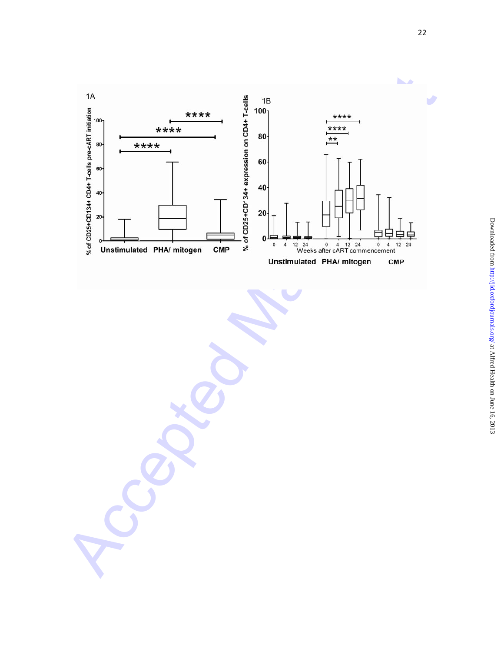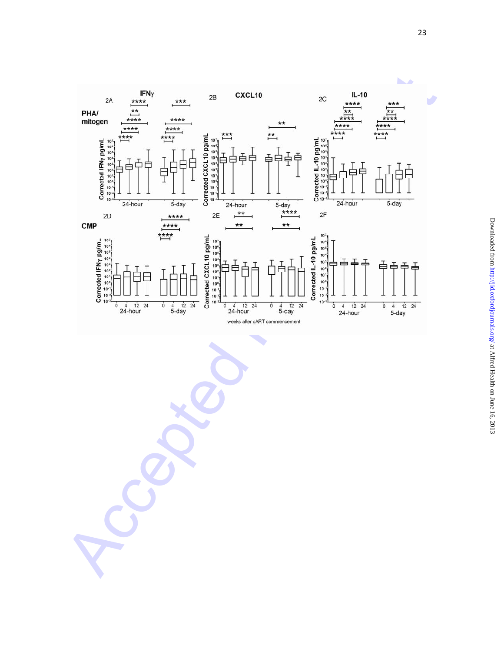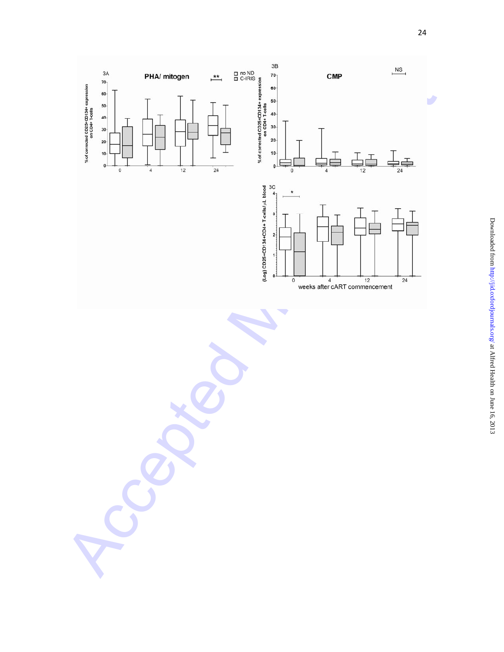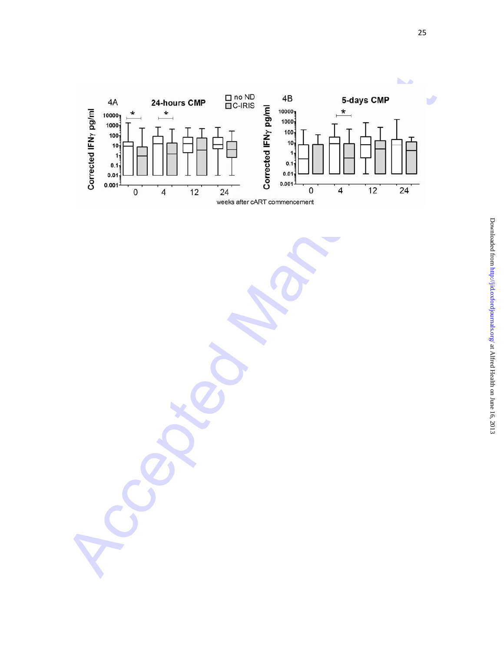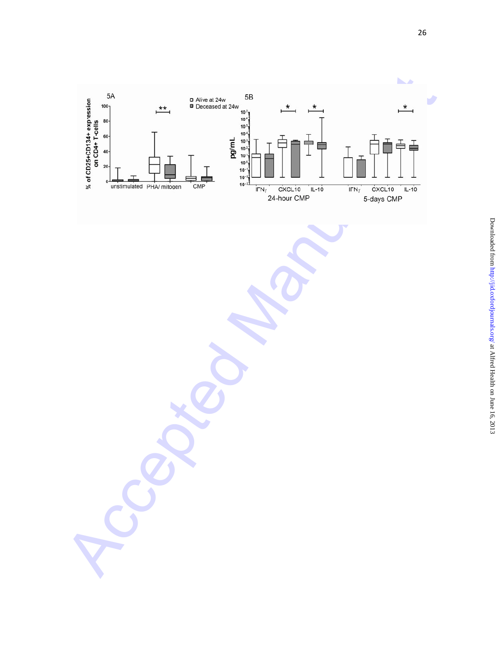